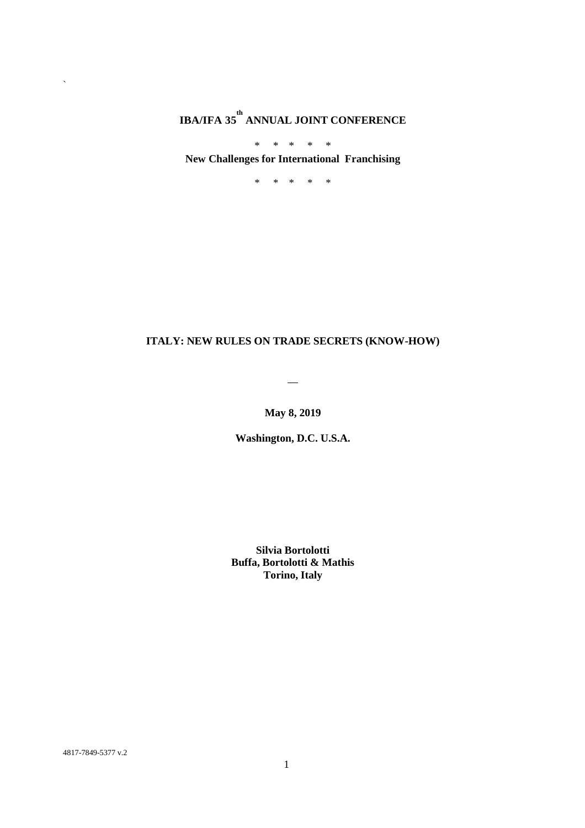# **IBA/IFA 35 th ANNUAL JOINT CONFERENCE**

\* \* \* \* \* **New Challenges for International Franchising**

\* \* \* \* \*

# **ITALY: NEW RULES ON TRADE SECRETS (KNOW-HOW)**

 $\overline{\phantom{0}}$ 

**May 8, 2019**

**Washington, D.C. U.S.A.**

**Silvia Bortolotti Buffa, Bortolotti & Mathis Torino, Italy**

4817-7849-5377 v.2

 $\ddot{\phantom{0}}$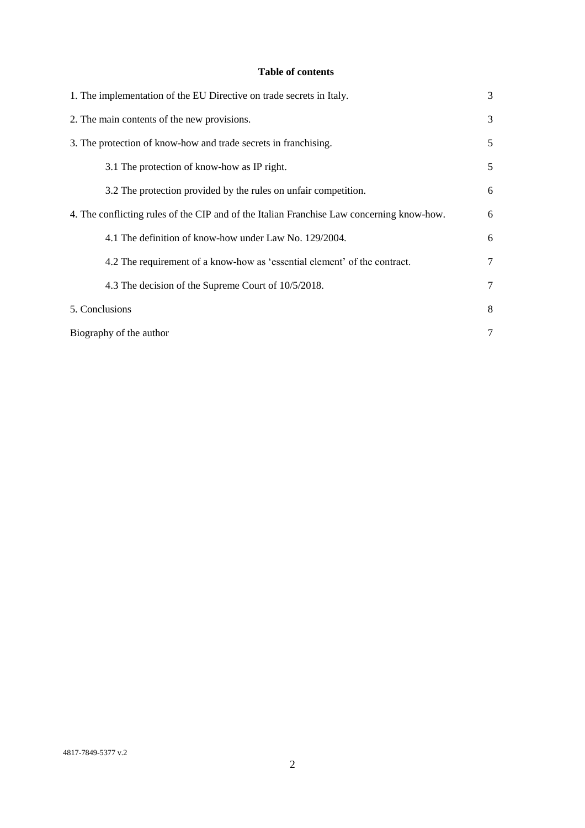# **Table of contents**

| 1. The implementation of the EU Directive on trade secrets in Italy.                      | 3 |
|-------------------------------------------------------------------------------------------|---|
| 2. The main contents of the new provisions.                                               | 3 |
| 3. The protection of know-how and trade secrets in franchising.                           | 5 |
| 3.1 The protection of know-how as IP right.                                               | 5 |
| 3.2 The protection provided by the rules on unfair competition.                           | 6 |
| 4. The conflicting rules of the CIP and of the Italian Franchise Law concerning know-how. | 6 |
| 4.1 The definition of know-how under Law No. 129/2004.                                    | 6 |
| 4.2 The requirement of a know-how as 'essential element' of the contract.                 | 7 |
| 4.3 The decision of the Supreme Court of 10/5/2018.                                       | 7 |
| 5. Conclusions                                                                            | 8 |
| Biography of the author                                                                   | 7 |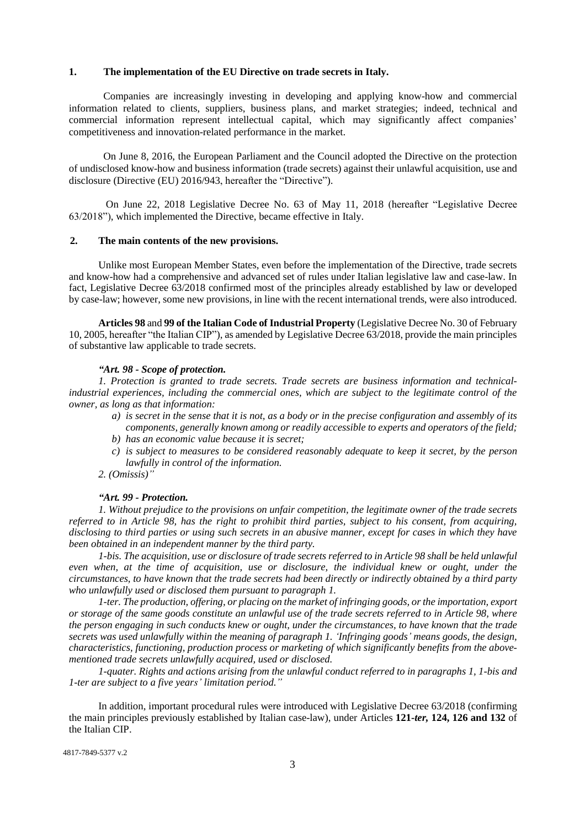#### **1. The implementation of the EU Directive on trade secrets in Italy.**

Companies are increasingly investing in developing and applying know-how and commercial information related to clients, suppliers, business plans, and market strategies; indeed, technical and commercial information represent intellectual capital, which may significantly affect companies' competitiveness and innovation-related performance in the market.

On June 8, 2016, the European Parliament and the Council adopted the Directive on the protection of undisclosed know-how and business information (trade secrets) against their unlawful acquisition, use and disclosure (Directive (EU) 2016/943, hereafter the "Directive").

On June 22, 2018 Legislative Decree No. 63 of May 11, 2018 (hereafter "Legislative Decree 63/2018"), which implemented the Directive, became effective in Italy.

#### **2. The main contents of the new provisions.**

Unlike most European Member States, even before the implementation of the Directive, trade secrets and know-how had a comprehensive and advanced set of rules under Italian legislative law and case-law. In fact, Legislative Decree 63/2018 confirmed most of the principles already established by law or developed by case-law; however, some new provisions, in line with the recent international trends, were also introduced.

**Articles 98** and **99 of the Italian Code of Industrial Property** (Legislative Decree No. 30 of February 10, 2005, hereafter "the Italian CIP"), as amended by Legislative Decree 63/2018, provide the main principles of substantive law applicable to trade secrets.

#### *"Art. 98 - Scope of protection.*

*1. Protection is granted to trade secrets. Trade secrets are business information and technicalindustrial experiences, including the commercial ones, which are subject to the legitimate control of the owner, as long as that information:*

- *a) is secret in the sense that it is not, as a body or in the precise configuration and assembly of its components, generally known among or readily accessible to experts and operators of the field;*
- *b) has an economic value because it is secret;*
- *c) is subject to measures to be considered reasonably adequate to keep it secret, by the person lawfully in control of the information.*
- *2. (Omissis)"*

#### *"Art. 99 - Protection.*

*1. Without prejudice to the provisions on unfair competition, the legitimate owner of the trade secrets referred to in Article 98, has the right to prohibit third parties, subject to his consent, from acquiring, disclosing to third parties or using such secrets in an abusive manner, except for cases in which they have been obtained in an independent manner by the third party.*

*1-bis. The acquisition, use or disclosure of trade secrets referred to in Article 98 shall be held unlawful even when, at the time of acquisition, use or disclosure, the individual knew or ought, under the circumstances, to have known that the trade secrets had been directly or indirectly obtained by a third party who unlawfully used or disclosed them pursuant to paragraph 1.*

*1-ter. The production, offering, or placing on the market of infringing goods, or the importation, export or storage of the same goods constitute an unlawful use of the trade secrets referred to in Article 98, where the person engaging in such conducts knew or ought, under the circumstances, to have known that the trade secrets was used unlawfully within the meaning of paragraph 1. 'Infringing goods' means goods, the design, characteristics, functioning, production process or marketing of which significantly benefits from the abovementioned trade secrets unlawfully acquired, used or disclosed.* 

*1-quater. Rights and actions arising from the unlawful conduct referred to in paragraphs 1, 1-bis and 1-ter are subject to a five years' limitation period."*

In addition, important procedural rules were introduced with Legislative Decree 63/2018 (confirming the main principles previously established by Italian case-law), under Articles **121-***ter,* **124, 126 and 132** of the Italian CIP.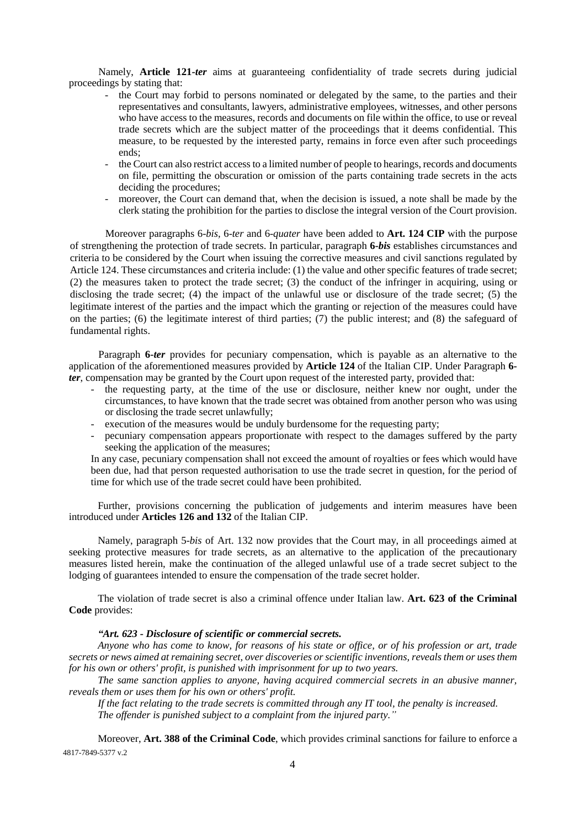Namely, **Article 121-***ter* aims at guaranteeing confidentiality of trade secrets during judicial proceedings by stating that:

- the Court may forbid to persons nominated or delegated by the same, to the parties and their representatives and consultants, lawyers, administrative employees, witnesses, and other persons who have access to the measures, records and documents on file within the office, to use or reveal trade secrets which are the subject matter of the proceedings that it deems confidential. This measure, to be requested by the interested party, remains in force even after such proceedings ends;
- the Court can also restrict access to a limited number of people to hearings, records and documents on file, permitting the obscuration or omission of the parts containing trade secrets in the acts deciding the procedures;
- moreover, the Court can demand that, when the decision is issued, a note shall be made by the clerk stating the prohibition for the parties to disclose the integral version of the Court provision.

Moreover paragraphs 6-*bis,* 6-*ter* and 6-*quater* have been added to **Art. 124 CIP** with the purpose of strengthening the protection of trade secrets. In particular, paragraph **6-***bis* establishes circumstances and criteria to be considered by the Court when issuing the corrective measures and civil sanctions regulated by Article 124. These circumstances and criteria include: (1) the value and other specific features of trade secret; (2) the measures taken to protect the trade secret; (3) the conduct of the infringer in acquiring, using or disclosing the trade secret; (4) the impact of the unlawful use or disclosure of the trade secret; (5) the legitimate interest of the parties and the impact which the granting or rejection of the measures could have on the parties; (6) the legitimate interest of third parties; (7) the public interest; and (8) the safeguard of fundamental rights.

Paragraph **6-***ter* provides for pecuniary compensation, which is payable as an alternative to the application of the aforementioned measures provided by **Article 124** of the Italian CIP. Under Paragraph **6** *ter*, compensation may be granted by the Court upon request of the interested party, provided that:

- the requesting party, at the time of the use or disclosure, neither knew nor ought, under the circumstances, to have known that the trade secret was obtained from another person who was using or disclosing the trade secret unlawfully;
- execution of the measures would be unduly burdensome for the requesting party;
- pecuniary compensation appears proportionate with respect to the damages suffered by the party seeking the application of the measures;

In any case, pecuniary compensation shall not exceed the amount of royalties or fees which would have been due, had that person requested authorisation to use the trade secret in question, for the period of time for which use of the trade secret could have been prohibited.

Further, provisions concerning the publication of judgements and interim measures have been introduced under **Articles 126 and 132** of the Italian CIP.

Namely, paragraph 5-*bis* of Art. 132 now provides that the Court may, in all proceedings aimed at seeking protective measures for trade secrets, as an alternative to the application of the precautionary measures listed herein, make the continuation of the alleged unlawful use of a trade secret subject to the lodging of guarantees intended to ensure the compensation of the trade secret holder.

The violation of trade secret is also a criminal offence under Italian law. **Art. 623 of the Criminal Code** provides:

## *"Art. 623 - Disclosure of scientific or commercial secrets.*

*Anyone who has come to know, for reasons of his state or office, or of his profession or art, trade secrets or news aimed at remaining secret, over discoveries or scientific inventions, reveals them or uses them for his own or others' profit, is punished with imprisonment for up to two years.*

*The same sanction applies to anyone, having acquired commercial secrets in an abusive manner, reveals them or uses them for his own or others' profit.*

*If the fact relating to the trade secrets is committed through any IT tool, the penalty is increased. The offender is punished subject to a complaint from the injured party."*

4817-7849-5377 v.2 Moreover, **Art. 388 of the Criminal Code**, which provides criminal sanctions for failure to enforce a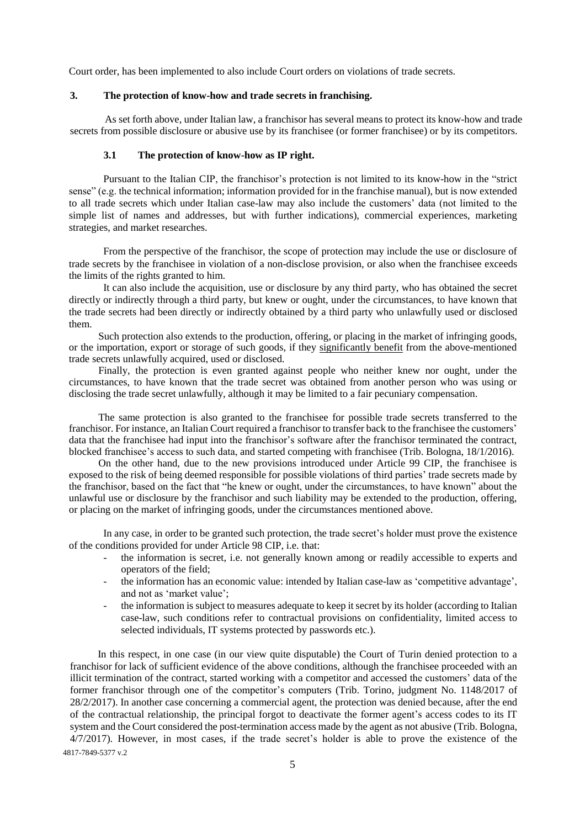Court order, has been implemented to also include Court orders on violations of trade secrets.

## **3. The protection of know-how and trade secrets in franchising.**

As set forth above, under Italian law, a franchisor has several means to protect its know-how and trade secrets from possible disclosure or abusive use by its franchisee (or former franchisee) or by its competitors.

#### **3.1 The protection of know-how as IP right.**

Pursuant to the Italian CIP, the franchisor's protection is not limited to its know-how in the "strict sense" (e.g. the technical information; information provided for in the franchise manual), but is now extended to all trade secrets which under Italian case-law may also include the customers' data (not limited to the simple list of names and addresses, but with further indications), commercial experiences, marketing strategies, and market researches.

From the perspective of the franchisor, the scope of protection may include the use or disclosure of trade secrets by the franchisee in violation of a non-disclose provision, or also when the franchisee exceeds the limits of the rights granted to him.

It can also include the acquisition, use or disclosure by any third party, who has obtained the secret directly or indirectly through a third party, but knew or ought, under the circumstances, to have known that the trade secrets had been directly or indirectly obtained by a third party who unlawfully used or disclosed them.

Such protection also extends to the production, offering, or placing in the market of infringing goods, or the importation, export or storage of such goods, if they significantly benefit from the above-mentioned trade secrets unlawfully acquired, used or disclosed.

Finally, the protection is even granted against people who neither knew nor ought, under the circumstances, to have known that the trade secret was obtained from another person who was using or disclosing the trade secret unlawfully, although it may be limited to a fair pecuniary compensation.

The same protection is also granted to the franchisee for possible trade secrets transferred to the franchisor. For instance, an Italian Court required a franchisor to transfer back to the franchisee the customers' data that the franchisee had input into the franchisor's software after the franchisor terminated the contract, blocked franchisee's access to such data, and started competing with franchisee (Trib. Bologna, 18/1/2016).

On the other hand, due to the new provisions introduced under Article 99 CIP, the franchisee is exposed to the risk of being deemed responsible for possible violations of third parties' trade secrets made by the franchisor, based on the fact that "he knew or ought, under the circumstances, to have known" about the unlawful use or disclosure by the franchisor and such liability may be extended to the production, offering, or placing on the market of infringing goods, under the circumstances mentioned above.

In any case, in order to be granted such protection, the trade secret's holder must prove the existence of the conditions provided for under Article 98 CIP, i.e. that:

- the information is secret, i.e. not generally known among or readily accessible to experts and operators of the field;
- the information has an economic value: intended by Italian case-law as 'competitive advantage', and not as 'market value';
- the information is subject to measures adequate to keep it secret by its holder (according to Italian case-law, such conditions refer to contractual provisions on confidentiality, limited access to selected individuals, IT systems protected by passwords etc.).

In this respect, in one case (in our view quite disputable) the Court of Turin denied protection to a franchisor for lack of sufficient evidence of the above conditions, although the franchisee proceeded with an illicit termination of the contract, started working with a competitor and accessed the customers' data of the former franchisor through one of the competitor's computers (Trib. Torino, judgment No. 1148/2017 of 28/2/2017). In another case concerning a commercial agent, the protection was denied because, after the end of the contractual relationship, the principal forgot to deactivate the former agent's access codes to its IT system and the Court considered the post-termination access made by the agent as not abusive (Trib. Bologna, 4/7/2017). However, in most cases, if the trade secret's holder is able to prove the existence of the

4817-7849-5377 v.2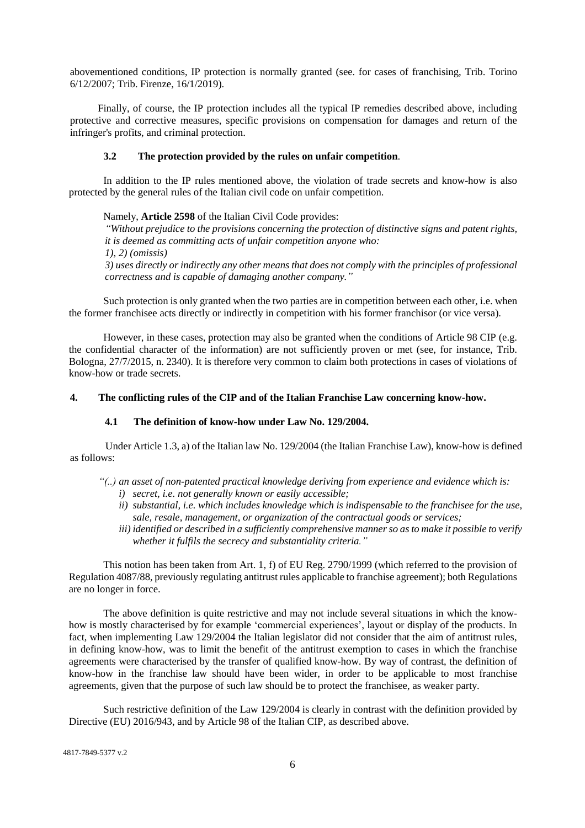abovementioned conditions, IP protection is normally granted (see. for cases of franchising, Trib. Torino 6/12/2007; Trib. Firenze, 16/1/2019).

Finally, of course, the IP protection includes all the typical IP remedies described above, including protective and corrective measures, specific provisions on compensation for damages and return of the infringer's profits, and criminal protection.

## **3.2 The protection provided by the rules on unfair competition**.

In addition to the IP rules mentioned above, the violation of trade secrets and know-how is also protected by the general rules of the Italian civil code on unfair competition.

Namely, **Article 2598** of the Italian Civil Code provides: *"Without prejudice to the provisions concerning the protection of distinctive signs and patent rights, it is deemed as committing acts of unfair competition anyone who: 1), 2) (omissis) 3) uses directly or indirectly any other means that does not comply with the principles of professional correctness and is capable of damaging another company."*

Such protection is only granted when the two parties are in competition between each other, i.e. when the former franchisee acts directly or indirectly in competition with his former franchisor (or vice versa).

However, in these cases, protection may also be granted when the conditions of Article 98 CIP (e.g. the confidential character of the information) are not sufficiently proven or met (see, for instance, Trib. Bologna, 27/7/2015, n. 2340). It is therefore very common to claim both protections in cases of violations of know-how or trade secrets.

## **4. The conflicting rules of the CIP and of the Italian Franchise Law concerning know-how.**

## **4.1 The definition of know-how under Law No. 129/2004.**

Under Article 1.3, a) of the Italian law No. 129/2004 (the Italian Franchise Law), know-how is defined as follows:

- *"(..) an asset of non-patented practical knowledge deriving from experience and evidence which is: i) secret, i.e. not generally known or easily accessible;*
	- *ii) substantial, i.e. which includes knowledge which is indispensable to the franchisee for the use, sale, resale, management, or organization of the contractual goods or services;*
	- *iii) identified or described in a sufficiently comprehensive manner so as to make it possible to verify whether it fulfils the secrecy and substantiality criteria."*

This notion has been taken from Art. 1, f) of EU Reg. 2790/1999 (which referred to the provision of Regulation 4087/88, previously regulating antitrust rules applicable to franchise agreement); both Regulations are no longer in force.

The above definition is quite restrictive and may not include several situations in which the knowhow is mostly characterised by for example 'commercial experiences', layout or display of the products. In fact, when implementing Law 129/2004 the Italian legislator did not consider that the aim of antitrust rules, in defining know-how, was to limit the benefit of the antitrust exemption to cases in which the franchise agreements were characterised by the transfer of qualified know-how. By way of contrast, the definition of know-how in the franchise law should have been wider, in order to be applicable to most franchise agreements, given that the purpose of such law should be to protect the franchisee, as weaker party.

Such restrictive definition of the Law 129/2004 is clearly in contrast with the definition provided by Directive (EU) 2016/943, and by Article 98 of the Italian CIP, as described above.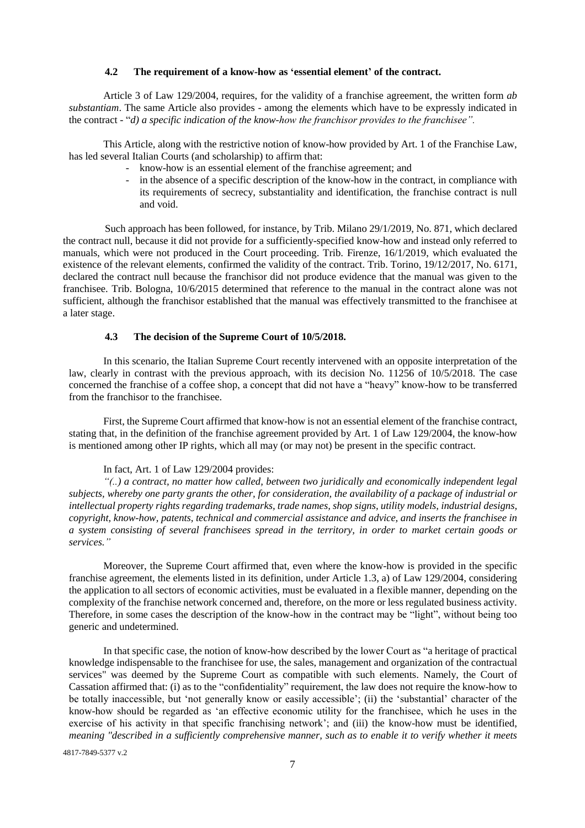#### **4.2 The requirement of a know-how as 'essential element' of the contract.**

Article 3 of Law 129/2004, requires, for the validity of a franchise agreement, the written form *ab substantiam*. The same Article also provides - among the elements which have to be expressly indicated in the contract - "*d) a specific indication of the know-how the franchisor provides to the franchisee".*

This Article, along with the restrictive notion of know-how provided by Art. 1 of the Franchise Law, has led several Italian Courts (and scholarship) to affirm that:

- know-how is an essential element of the franchise agreement; and
- in the absence of a specific description of the know-how in the contract, in compliance with its requirements of secrecy, substantiality and identification, the franchise contract is null and void.

Such approach has been followed, for instance, by Trib. Milano 29/1/2019, No. 871, which declared the contract null, because it did not provide for a sufficiently-specified know-how and instead only referred to manuals, which were not produced in the Court proceeding. Trib. Firenze, 16/1/2019, which evaluated the existence of the relevant elements, confirmed the validity of the contract. Trib. Torino, 19/12/2017, No. 6171, declared the contract null because the franchisor did not produce evidence that the manual was given to the franchisee. Trib. Bologna, 10/6/2015 determined that reference to the manual in the contract alone was not sufficient, although the franchisor established that the manual was effectively transmitted to the franchisee at a later stage.

#### **4.3 The decision of the Supreme Court of 10/5/2018.**

In this scenario, the Italian Supreme Court recently intervened with an opposite interpretation of the law, clearly in contrast with the previous approach, with its decision No. 11256 of 10/5/2018. The case concerned the franchise of a coffee shop, a concept that did not have a "heavy" know-how to be transferred from the franchisor to the franchisee.

First, the Supreme Court affirmed that know-how is not an essential element of the franchise contract, stating that, in the definition of the franchise agreement provided by Art. 1 of Law 129/2004, the know-how is mentioned among other IP rights, which all may (or may not) be present in the specific contract.

#### In fact, Art. 1 of Law 129/2004 provides:

*"(..) a contract, no matter how called, between two juridically and economically independent legal subjects, whereby one party grants the other, for consideration, the availability of a package of industrial or intellectual property rights regarding trademarks, trade names, shop signs, utility models, industrial designs, copyright, know-how, patents, technical and commercial assistance and advice, and inserts the franchisee in a system consisting of several franchisees spread in the territory, in order to market certain goods or services."*

Moreover, the Supreme Court affirmed that, even where the know-how is provided in the specific franchise agreement, the elements listed in its definition, under Article 1.3, a) of Law 129/2004, considering the application to all sectors of economic activities, must be evaluated in a flexible manner, depending on the complexity of the franchise network concerned and, therefore, on the more or less regulated business activity. Therefore, in some cases the description of the know-how in the contract may be "light", without being too generic and undetermined.

In that specific case, the notion of know-how described by the lower Court as "a heritage of practical knowledge indispensable to the franchisee for use, the sales, management and organization of the contractual services" was deemed by the Supreme Court as compatible with such elements. Namely, the Court of Cassation affirmed that: (i) as to the "confidentiality" requirement, the law does not require the know-how to be totally inaccessible, but 'not generally know or easily accessible'; (ii) the 'substantial' character of the know-how should be regarded as 'an effective economic utility for the franchisee, which he uses in the exercise of his activity in that specific franchising network'; and (iii) the know-how must be identified, *meaning "described in a sufficiently comprehensive manner, such as to enable it to verify whether it meets* 

4817-7849-5377 v.2